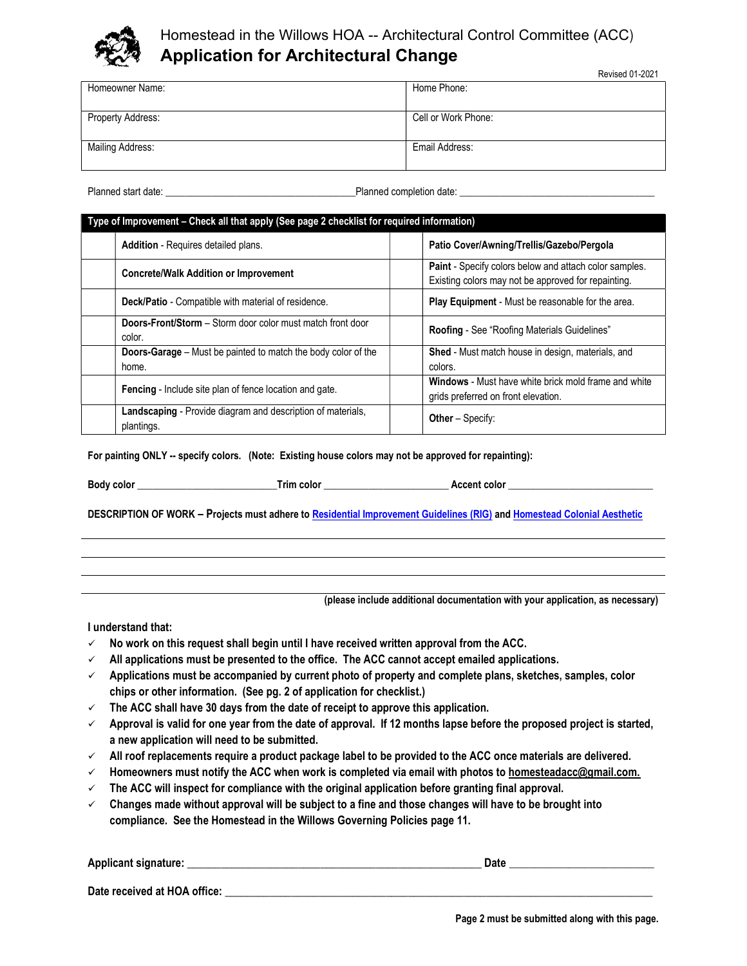

# Homestead in the Willows HOA -- Architectural Control Committee (ACC) Application for Architectural Change

Revised 01-2021

|                         | <b>INGVISGU U I-ZUZ I</b> |
|-------------------------|---------------------------|
| Homeowner Name:         | Home Phone:               |
|                         |                           |
|                         |                           |
| Property Address:       | Cell or Work Phone:       |
|                         |                           |
|                         |                           |
| <b>Mailing Address:</b> | Email Address:            |
|                         |                           |
|                         |                           |

Planned start date: example to the start date: example to the Planned completion date:

| Type of Improvement - Check all that apply (See page 2 checklist for required information) |                                                                             |  |                                                                                                                      |  |
|--------------------------------------------------------------------------------------------|-----------------------------------------------------------------------------|--|----------------------------------------------------------------------------------------------------------------------|--|
|                                                                                            | Addition - Requires detailed plans.                                         |  | Patio Cover/Awning/Trellis/Gazebo/Pergola                                                                            |  |
|                                                                                            | <b>Concrete/Walk Addition or Improvement</b>                                |  | <b>Paint</b> - Specify colors below and attach color samples.<br>Existing colors may not be approved for repainting. |  |
|                                                                                            | Deck/Patio - Compatible with material of residence.                         |  | <b>Play Equipment</b> - Must be reasonable for the area.                                                             |  |
|                                                                                            | <b>Doors-Front/Storm</b> – Storm door color must match front door<br>color. |  | Roofing - See "Roofing Materials Guidelines"                                                                         |  |
|                                                                                            | Doors-Garage - Must be painted to match the body color of the<br>home.      |  | <b>Shed</b> - Must match house in design, materials, and<br>colors.                                                  |  |
|                                                                                            | Fencing - Include site plan of fence location and gate.                     |  | Windows - Must have white brick mold frame and white<br>grids preferred on front elevation.                          |  |
|                                                                                            | Landscaping - Provide diagram and description of materials,<br>plantings.   |  | <b>Other</b> – Specify:                                                                                              |  |

For painting ONLY -- specify colors. (Note: Existing house colors may not be approved for repainting):

Body color \_\_\_\_\_\_\_\_\_\_\_\_\_\_\_\_\_\_\_\_\_\_\_\_\_\_\_\_Trim color \_\_\_\_\_\_\_\_\_\_\_\_\_\_\_\_\_\_\_\_\_\_\_\_\_ Accent color \_\_\_\_\_\_\_\_\_\_\_\_\_\_\_\_\_\_\_\_\_\_\_\_\_\_\_\_\_

DESCRIPTION OF WORK – Projects must adhere to [Residential Improvement Guidelines \(RIG\)](https://www.homesteadinthewillows.org/residential-improvement-guidelines) and [Homestead Colonial Aesthetic](https://www.homesteadinthewillows.org/homestead-aesthetic)

(please include additional documentation with your application, as necessary)

I understand that:

- $\checkmark$  No work on this request shall begin until I have received written approval from the ACC.
- $\checkmark$  All applications must be presented to the office. The ACC cannot accept emailed applications.
- $\checkmark$  Applications must be accompanied by current photo of property and complete plans, sketches, samples, color chips or other information. (See pg. 2 of application for checklist.)
- $\checkmark$  The ACC shall have 30 days from the date of receipt to approve this application.
- $\checkmark$  Approval is valid for one year from the date of approval. If 12 months lapse before the proposed project is started, a new application will need to be submitted.
- $\checkmark$  All roof replacements require a product package label to be provided to the ACC once materials are delivered.
- $\checkmark$  Homeowners must notify the ACC when work is completed via email with photos to homesteadacc@gmail.com.
- $\checkmark$  The ACC will inspect for compliance with the original application before granting final approval.
- $\checkmark$  Changes made without approval will be subject to a fine and those changes will have to be brought into compliance. See the Homestead in the Willows Governing Policies page 11.

| Applicant signature:         | Date |
|------------------------------|------|
| Date received at HOA office: |      |